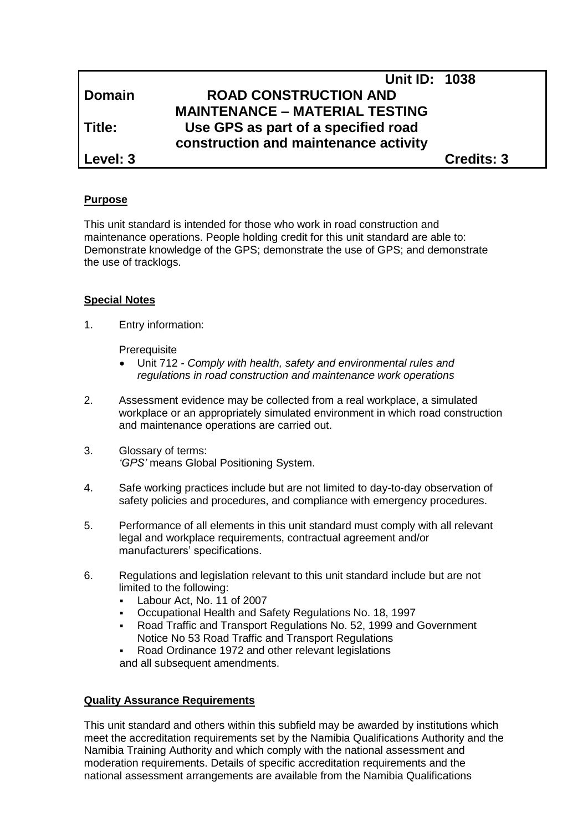|               | <b>Unit ID: 1038</b>                  |                   |
|---------------|---------------------------------------|-------------------|
| <b>Domain</b> | <b>ROAD CONSTRUCTION AND</b>          |                   |
|               | <b>MAINTENANCE – MATERIAL TESTING</b> |                   |
| Title:        | Use GPS as part of a specified road   |                   |
|               | construction and maintenance activity |                   |
| Level: 3      |                                       | <b>Credits: 3</b> |

#### **Purpose**

This unit standard is intended for those who work in road construction and maintenance operations. People holding credit for this unit standard are able to: Demonstrate knowledge of the GPS; demonstrate the use of GPS; and demonstrate the use of tracklogs.

#### **Special Notes**

1. Entry information:

**Prerequisite** 

- Unit 712 *- Comply with health, safety and environmental rules and regulations in road construction and maintenance work operations*
- 2. Assessment evidence may be collected from a real workplace, a simulated workplace or an appropriately simulated environment in which road construction and maintenance operations are carried out.
- 3. Glossary of terms: *'GPS'* means Global Positioning System.
- 4. Safe working practices include but are not limited to day-to-day observation of safety policies and procedures, and compliance with emergency procedures.
- 5. Performance of all elements in this unit standard must comply with all relevant legal and workplace requirements, contractual agreement and/or manufacturers' specifications.
- 6. Regulations and legislation relevant to this unit standard include but are not limited to the following:
	- Labour Act, No. 11 of 2007
	- Occupational Health and Safety Regulations No. 18, 1997
	- Road Traffic and Transport Regulations No. 52, 1999 and Government Notice No 53 Road Traffic and Transport Regulations
	- Road Ordinance 1972 and other relevant legislations

and all subsequent amendments.

#### **Quality Assurance Requirements**

This unit standard and others within this subfield may be awarded by institutions which meet the accreditation requirements set by the Namibia Qualifications Authority and the Namibia Training Authority and which comply with the national assessment and moderation requirements. Details of specific accreditation requirements and the national assessment arrangements are available from the Namibia Qualifications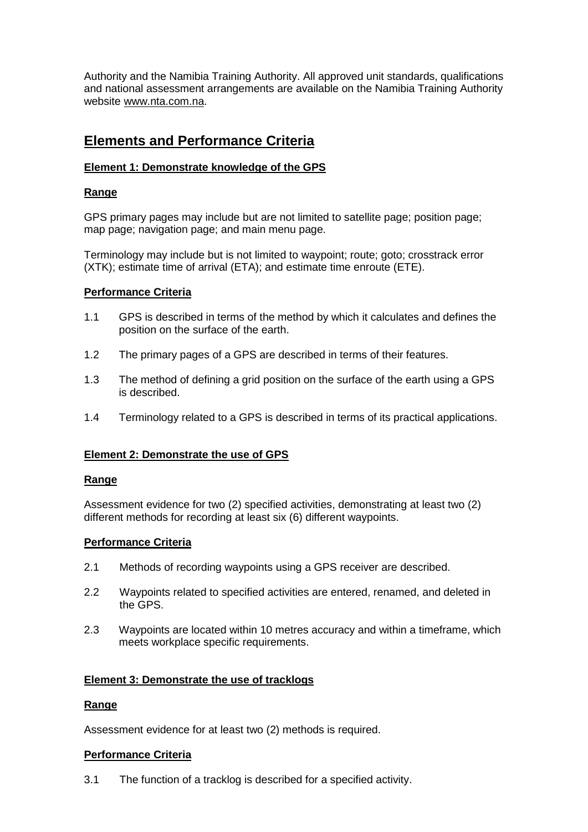Authority and the Namibia Training Authority. All approved unit standards, qualifications and national assessment arrangements are available on the Namibia Training Authority website [www.nta.com.na.](http://www.nta.com.na/)

# **Elements and Performance Criteria**

# **Element 1: Demonstrate knowledge of the GPS**

# **Range**

GPS primary pages may include but are not limited to satellite page; position page; map page; navigation page; and main menu page.

Terminology may include but is not limited to waypoint; route; goto; crosstrack error (XTK); estimate time of arrival (ETA); and estimate time enroute (ETE).

### **Performance Criteria**

- 1.1 GPS is described in terms of the method by which it calculates and defines the position on the surface of the earth.
- 1.2 The primary pages of a GPS are described in terms of their features.
- 1.3 The method of defining a grid position on the surface of the earth using a GPS is described.
- 1.4 Terminology related to a GPS is described in terms of its practical applications.

#### **Element 2: Demonstrate the use of GPS**

#### **Range**

Assessment evidence for two (2) specified activities, demonstrating at least two (2) different methods for recording at least six (6) different waypoints.

#### **Performance Criteria**

- 2.1 Methods of recording waypoints using a GPS receiver are described.
- 2.2 Waypoints related to specified activities are entered, renamed, and deleted in the GPS.
- 2.3 Waypoints are located within 10 metres accuracy and within a timeframe, which meets workplace specific requirements.

#### **Element 3: Demonstrate the use of tracklogs**

#### **Range**

Assessment evidence for at least two (2) methods is required.

#### **Performance Criteria**

3.1 The function of a tracklog is described for a specified activity.